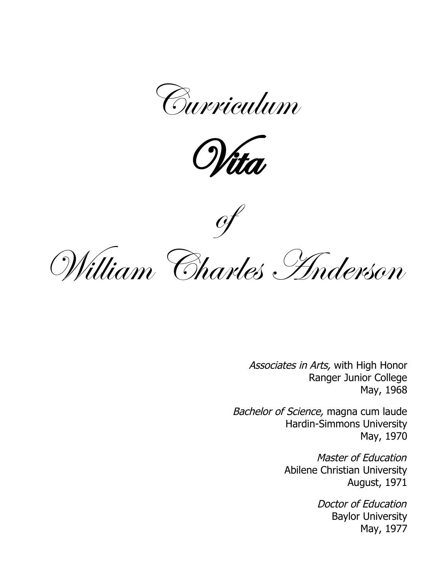



**of** 



Associates in Arts, with High Honor Ranger Junior College May, 1968

Bachelor of Science, magna cum laude Hardin-Simmons University May, 1970

> Master of Education Abilene Christian University August, 1971

> > Doctor of Education Baylor University May, 1977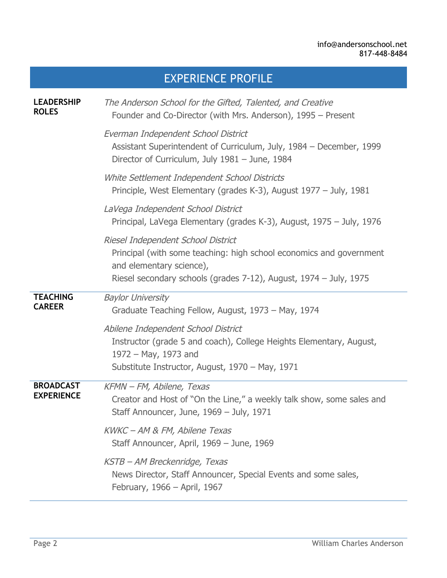# EXPERIENCE PROFILE

| <b>LEADERSHIP</b><br><b>ROLES</b>     | The Anderson School for the Gifted, Talented, and Creative<br>Founder and Co-Director (with Mrs. Anderson), 1995 - Present                                                                                 |
|---------------------------------------|------------------------------------------------------------------------------------------------------------------------------------------------------------------------------------------------------------|
|                                       | Everman Independent School District<br>Assistant Superintendent of Curriculum, July, 1984 - December, 1999<br>Director of Curriculum, July 1981 - June, 1984                                               |
|                                       | White Settlement Independent School Districts<br>Principle, West Elementary (grades K-3), August 1977 – July, 1981                                                                                         |
|                                       | LaVega Independent School District<br>Principal, LaVega Elementary (grades K-3), August, 1975 – July, 1976                                                                                                 |
|                                       | Riesel Independent School District<br>Principal (with some teaching: high school economics and government<br>and elementary science),<br>Riesel secondary schools (grades 7-12), August, 1974 – July, 1975 |
| <b>TEACHING</b><br><b>CAREER</b>      | <b>Baylor University</b><br>Graduate Teaching Fellow, August, 1973 – May, 1974                                                                                                                             |
|                                       | Abilene Independent School District<br>Instructor (grade 5 and coach), College Heights Elementary, August,<br>1972 - May, 1973 and<br>Substitute Instructor, August, 1970 - May, 1971                      |
| <b>BROADCAST</b><br><b>EXPERIENCE</b> | KFMN - FM, Abilene, Texas<br>Creator and Host of "On the Line," a weekly talk show, some sales and<br>Staff Announcer, June, 1969 - July, 1971                                                             |
|                                       | KWKC - AM & FM, Abilene Texas<br>Staff Announcer, April, 1969 - June, 1969                                                                                                                                 |
|                                       | KSTB - AM Breckenridge, Texas<br>News Director, Staff Announcer, Special Events and some sales,<br>February, 1966 - April, 1967                                                                            |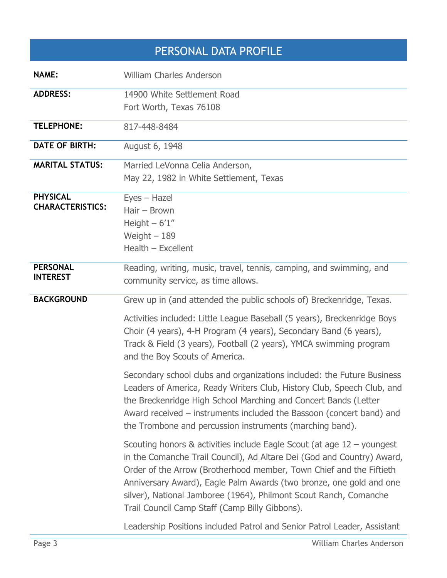# PERSONAL DATA PROFILE

| <b>NAME:</b>            | <b>William Charles Anderson</b>                                                                                                                                                                                                                                                                                                                                                                                         |
|-------------------------|-------------------------------------------------------------------------------------------------------------------------------------------------------------------------------------------------------------------------------------------------------------------------------------------------------------------------------------------------------------------------------------------------------------------------|
| <b>ADDRESS:</b>         | 14900 White Settlement Road                                                                                                                                                                                                                                                                                                                                                                                             |
|                         | Fort Worth, Texas 76108                                                                                                                                                                                                                                                                                                                                                                                                 |
| <b>TELEPHONE:</b>       | 817-448-8484                                                                                                                                                                                                                                                                                                                                                                                                            |
| <b>DATE OF BIRTH:</b>   | August 6, 1948                                                                                                                                                                                                                                                                                                                                                                                                          |
| <b>MARITAL STATUS:</b>  | Married LeVonna Celia Anderson,                                                                                                                                                                                                                                                                                                                                                                                         |
|                         | May 22, 1982 in White Settlement, Texas                                                                                                                                                                                                                                                                                                                                                                                 |
| <b>PHYSICAL</b>         | Eyes - Hazel                                                                                                                                                                                                                                                                                                                                                                                                            |
| <b>CHARACTERISTICS:</b> | $Hair - Brown$                                                                                                                                                                                                                                                                                                                                                                                                          |
|                         | Height $-6'1''$                                                                                                                                                                                                                                                                                                                                                                                                         |
|                         | Weight $-189$                                                                                                                                                                                                                                                                                                                                                                                                           |
|                         | Health - Excellent                                                                                                                                                                                                                                                                                                                                                                                                      |
| <b>PERSONAL</b>         | Reading, writing, music, travel, tennis, camping, and swimming, and                                                                                                                                                                                                                                                                                                                                                     |
| <b>INTEREST</b>         | community service, as time allows.                                                                                                                                                                                                                                                                                                                                                                                      |
| <b>BACKGROUND</b>       | Grew up in (and attended the public schools of) Breckenridge, Texas.                                                                                                                                                                                                                                                                                                                                                    |
|                         | Activities included: Little League Baseball (5 years), Breckenridge Boys<br>Choir (4 years), 4-H Program (4 years), Secondary Band (6 years),<br>Track & Field (3 years), Football (2 years), YMCA swimming program<br>and the Boy Scouts of America.                                                                                                                                                                   |
|                         | Secondary school clubs and organizations included: the Future Business<br>Leaders of America, Ready Writers Club, History Club, Speech Club, and<br>the Breckenridge High School Marching and Concert Bands (Letter<br>Award received – instruments included the Bassoon (concert band) and<br>the Trombone and percussion instruments (marching band).                                                                 |
|                         | Scouting honors & activities include Eagle Scout (at age $12$ – youngest<br>in the Comanche Trail Council), Ad Altare Dei (God and Country) Award,<br>Order of the Arrow (Brotherhood member, Town Chief and the Fiftieth<br>Anniversary Award), Eagle Palm Awards (two bronze, one gold and one<br>silver), National Jamboree (1964), Philmont Scout Ranch, Comanche<br>Trail Council Camp Staff (Camp Billy Gibbons). |

Leadership Positions included Patrol and Senior Patrol Leader, Assistant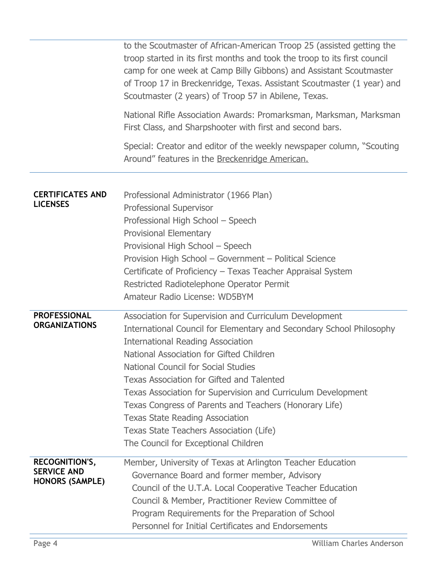|                                                                | to the Scoutmaster of African-American Troop 25 (assisted getting the<br>troop started in its first months and took the troop to its first council<br>camp for one week at Camp Billy Gibbons) and Assistant Scoutmaster<br>of Troop 17 in Breckenridge, Texas. Assistant Scoutmaster (1 year) and<br>Scoutmaster (2 years) of Troop 57 in Abilene, Texas.                                                                                                                                                                                                                      |
|----------------------------------------------------------------|---------------------------------------------------------------------------------------------------------------------------------------------------------------------------------------------------------------------------------------------------------------------------------------------------------------------------------------------------------------------------------------------------------------------------------------------------------------------------------------------------------------------------------------------------------------------------------|
|                                                                | National Rifle Association Awards: Promarksman, Marksman, Marksman<br>First Class, and Sharpshooter with first and second bars.                                                                                                                                                                                                                                                                                                                                                                                                                                                 |
|                                                                | Special: Creator and editor of the weekly newspaper column, "Scouting<br>Around" features in the Breckenridge American.                                                                                                                                                                                                                                                                                                                                                                                                                                                         |
| <b>CERTIFICATES AND</b><br><b>LICENSES</b>                     | Professional Administrator (1966 Plan)<br>Professional Supervisor<br>Professional High School - Speech<br><b>Provisional Elementary</b><br>Provisional High School - Speech<br>Provision High School - Government - Political Science<br>Certificate of Proficiency - Texas Teacher Appraisal System<br>Restricted Radiotelephone Operator Permit<br>Amateur Radio License: WD5BYM                                                                                                                                                                                              |
| <b>PROFESSIONAL</b><br><b>ORGANIZATIONS</b>                    | Association for Supervision and Curriculum Development<br>International Council for Elementary and Secondary School Philosophy<br><b>International Reading Association</b><br>National Association for Gifted Children<br><b>National Council for Social Studies</b><br><b>Texas Association for Gifted and Talented</b><br>Texas Association for Supervision and Curriculum Development<br>Texas Congress of Parents and Teachers (Honorary Life)<br><b>Texas State Reading Association</b><br>Texas State Teachers Association (Life)<br>The Council for Exceptional Children |
| RECOGNITION'S,<br><b>SERVICE AND</b><br><b>HONORS (SAMPLE)</b> | Member, University of Texas at Arlington Teacher Education<br>Governance Board and former member, Advisory<br>Council of the U.T.A. Local Cooperative Teacher Education<br>Council & Member, Practitioner Review Committee of<br>Program Requirements for the Preparation of School<br>Personnel for Initial Certificates and Endorsements                                                                                                                                                                                                                                      |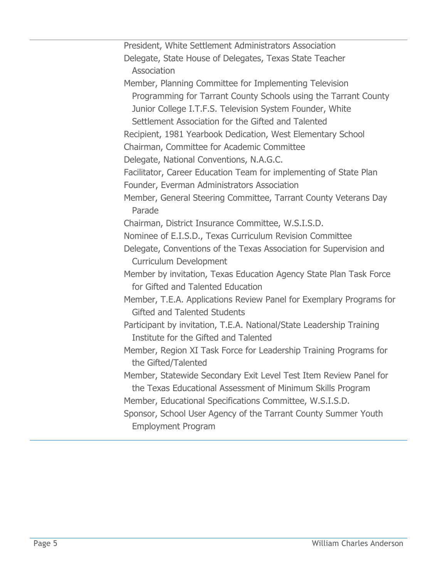| President, White Settlement Administrators Association               |
|----------------------------------------------------------------------|
| Delegate, State House of Delegates, Texas State Teacher              |
| Association                                                          |
| Member, Planning Committee for Implementing Television               |
| Programming for Tarrant County Schools using the Tarrant County      |
| Junior College I.T.F.S. Television System Founder, White             |
| Settlement Association for the Gifted and Talented                   |
| Recipient, 1981 Yearbook Dedication, West Elementary School          |
| Chairman, Committee for Academic Committee                           |
| Delegate, National Conventions, N.A.G.C.                             |
| Facilitator, Career Education Team for implementing of State Plan    |
| Founder, Everman Administrators Association                          |
| Member, General Steering Committee, Tarrant County Veterans Day      |
| Parade                                                               |
| Chairman, District Insurance Committee, W.S.I.S.D.                   |
| Nominee of E.I.S.D., Texas Curriculum Revision Committee             |
| Delegate, Conventions of the Texas Association for Supervision and   |
| <b>Curriculum Development</b>                                        |
| Member by invitation, Texas Education Agency State Plan Task Force   |
| for Gifted and Talented Education                                    |
| Member, T.E.A. Applications Review Panel for Exemplary Programs for  |
| <b>Gifted and Talented Students</b>                                  |
| Participant by invitation, T.E.A. National/State Leadership Training |
| Institute for the Gifted and Talented                                |
| Member, Region XI Task Force for Leadership Training Programs for    |
| the Gifted/Talented                                                  |
| Member, Statewide Secondary Exit Level Test Item Review Panel for    |
| the Texas Educational Assessment of Minimum Skills Program           |
| Member, Educational Specifications Committee, W.S.I.S.D.             |
| Sponsor, School User Agency of the Tarrant County Summer Youth       |
| <b>Employment Program</b>                                            |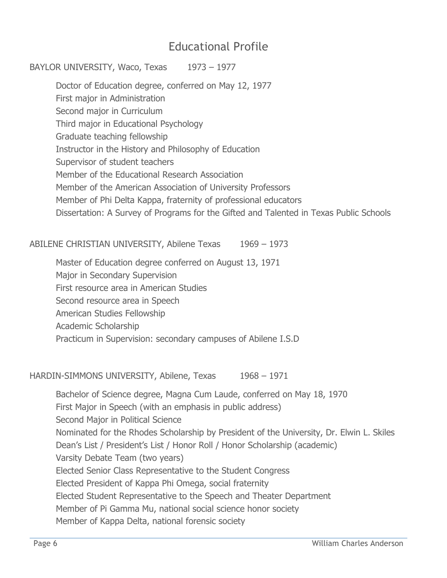### Educational Profile

#### BAYLOR UNIVERSITY, Waco, Texas 1973 – 1977

Doctor of Education degree, conferred on May 12, 1977 First major in Administration Second major in Curriculum Third major in Educational Psychology Graduate teaching fellowship Instructor in the History and Philosophy of Education Supervisor of student teachers Member of the Educational Research Association Member of the American Association of University Professors Member of Phi Delta Kappa, fraternity of professional educators Dissertation: A Survey of Programs for the Gifted and Talented in Texas Public Schools

ABILENE CHRISTIAN UNIVERSITY, Abilene Texas 1969 – 1973

Master of Education degree conferred on August 13, 1971

Major in Secondary Supervision

First resource area in American Studies

Second resource area in Speech

American Studies Fellowship

Academic Scholarship

Practicum in Supervision: secondary campuses of Abilene I.S.D

HARDIN-SIMMONS UNIVERSITY, Abilene, Texas 1968 - 1971

Bachelor of Science degree, Magna Cum Laude, conferred on May 18, 1970 First Major in Speech (with an emphasis in public address) Second Major in Political Science Nominated for the Rhodes Scholarship by President of the University, Dr. Elwin L. Skiles Dean's List / President's List / Honor Roll / Honor Scholarship (academic) Varsity Debate Team (two years) Elected Senior Class Representative to the Student Congress Elected President of Kappa Phi Omega, social fraternity Elected Student Representative to the Speech and Theater Department Member of Pi Gamma Mu, national social science honor society Member of Kappa Delta, national forensic society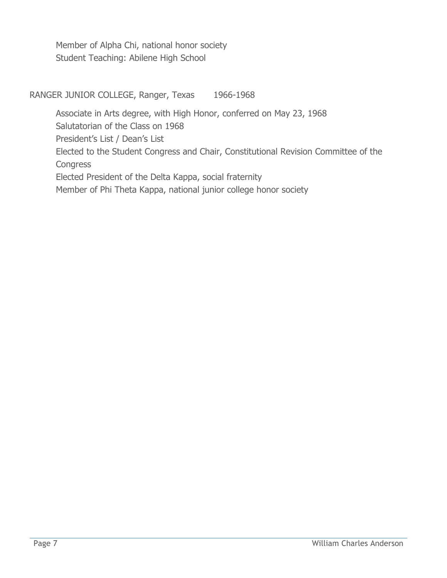Member of Alpha Chi, national honor society Student Teaching: Abilene High School

RANGER JUNIOR COLLEGE, Ranger, Texas 1966-1968

Associate in Arts degree, with High Honor, conferred on May 23, 1968 Salutatorian of the Class on 1968 President's List / Dean's List Elected to the Student Congress and Chair, Constitutional Revision Committee of the **Congress** Elected President of the Delta Kappa, social fraternity Member of Phi Theta Kappa, national junior college honor society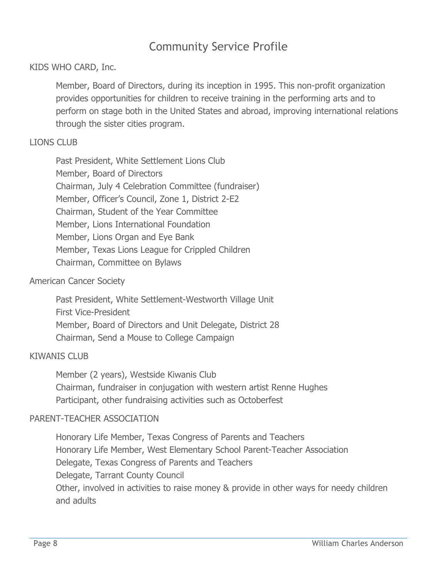## Community Service Profile

#### KIDS WHO CARD, Inc.

Member, Board of Directors, during its inception in 1995. This non-profit organization provides opportunities for children to receive training in the performing arts and to perform on stage both in the United States and abroad, improving international relations through the sister cities program.

#### LIONS CLUB

Past President, White Settlement Lions Club Member, Board of Directors Chairman, July 4 Celebration Committee (fundraiser) Member, Officer's Council, Zone 1, District 2-E2 Chairman, Student of the Year Committee Member, Lions International Foundation Member, Lions Organ and Eye Bank Member, Texas Lions League for Crippled Children Chairman, Committee on Bylaws

#### American Cancer Society

Past President, White Settlement-Westworth Village Unit First Vice-President Member, Board of Directors and Unit Delegate, District 28 Chairman, Send a Mouse to College Campaign

#### KIWANIS CLUB

Member (2 years), Westside Kiwanis Club Chairman, fundraiser in conjugation with western artist Renne Hughes Participant, other fundraising activities such as Octoberfest

#### PARENT-TEACHER ASSOCIATION

Honorary Life Member, Texas Congress of Parents and Teachers Honorary Life Member, West Elementary School Parent-Teacher Association Delegate, Texas Congress of Parents and Teachers Delegate, Tarrant County Council Other, involved in activities to raise money & provide in other ways for needy children and adults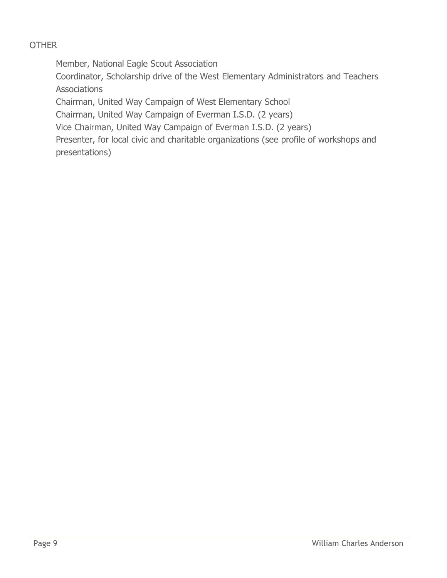### **OTHER**

Member, National Eagle Scout Association

Coordinator, Scholarship drive of the West Elementary Administrators and Teachers **Associations** 

Chairman, United Way Campaign of West Elementary School

Chairman, United Way Campaign of Everman I.S.D. (2 years)

Vice Chairman, United Way Campaign of Everman I.S.D. (2 years)

Presenter, for local civic and charitable organizations (see profile of workshops and presentations)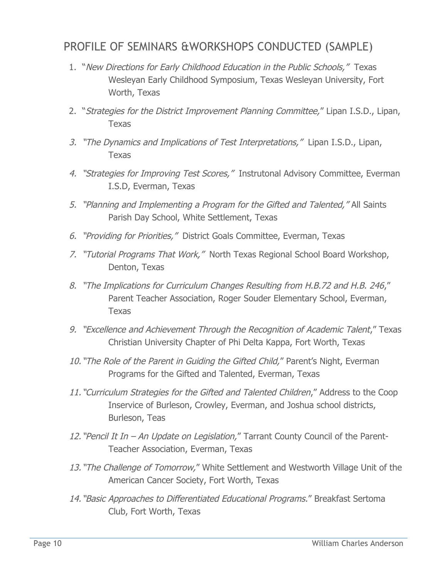### PROFILE OF SEMINARS &WORKSHOPS CONDUCTED (SAMPLE)

- 1. "New Directions for Early Childhood Education in the Public Schools," Texas Wesleyan Early Childhood Symposium, Texas Wesleyan University, Fort Worth, Texas
- 2. "Strategies for the District Improvement Planning Committee," Lipan I.S.D., Lipan, Texas
- 3. "The Dynamics and Implications of Test Interpretations," Lipan I.S.D., Lipan, Texas
- 4. "Strategies for Improving Test Scores," Instrutonal Advisory Committee, Everman I.S.D, Everman, Texas
- 5. "Planning and Implementing a Program for the Gifted and Talented," All Saints Parish Day School, White Settlement, Texas
- 6. "Providing for Priorities," District Goals Committee, Everman, Texas
- 7. "Tutorial Programs That Work," North Texas Regional School Board Workshop, Denton, Texas
- 8. "The Implications for Curriculum Changes Resulting from H.B.72 and H.B. 246," Parent Teacher Association, Roger Souder Elementary School, Everman, Texas
- 9. "Excellence and Achievement Through the Recognition of Academic Talent," Texas Christian University Chapter of Phi Delta Kappa, Fort Worth, Texas
- 10. "The Role of the Parent in Guiding the Gifted Child," Parent's Night, Everman Programs for the Gifted and Talented, Everman, Texas
- 11. "Curriculum Strategies for the Gifted and Talented Children," Address to the Coop Inservice of Burleson, Crowley, Everman, and Joshua school districts, Burleson, Teas
- 12. "Pencil It In An Update on Legislation," Tarrant County Council of the Parent-Teacher Association, Everman, Texas
- 13. "The Challenge of Tomorrow," White Settlement and Westworth Village Unit of the American Cancer Society, Fort Worth, Texas
- 14. "Basic Approaches to Differentiated Educational Programs." Breakfast Sertoma Club, Fort Worth, Texas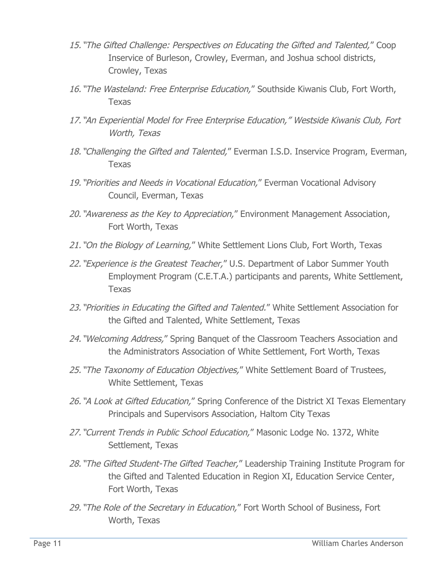- 15. "The Gifted Challenge: Perspectives on Educating the Gifted and Talented," Coop Inservice of Burleson, Crowley, Everman, and Joshua school districts, Crowley, Texas
- 16. "The Wasteland: Free Enterprise Education," Southside Kiwanis Club, Fort Worth, Texas
- 17. "An Experiential Model for Free Enterprise Education," Westside Kiwanis Club, Fort Worth, Texas
- 18. "Challenging the Gifted and Talented," Everman I.S.D. Inservice Program, Everman, Texas
- 19. "Priorities and Needs in Vocational Education," Everman Vocational Advisory Council, Everman, Texas
- 20. "Awareness as the Key to Appreciation," Environment Management Association, Fort Worth, Texas
- 21. "On the Biology of Learning," White Settlement Lions Club, Fort Worth, Texas
- 22. "Experience is the Greatest Teacher," U.S. Department of Labor Summer Youth Employment Program (C.E.T.A.) participants and parents, White Settlement, Texas
- 23. "Priorities in Educating the Gifted and Talented." White Settlement Association for the Gifted and Talented, White Settlement, Texas
- 24. "Welcoming Address," Spring Banguet of the Classroom Teachers Association and the Administrators Association of White Settlement, Fort Worth, Texas
- 25. "The Taxonomy of Education Objectives," White Settlement Board of Trustees, White Settlement, Texas
- 26. "A Look at Gifted Education," Spring Conference of the District XI Texas Elementary Principals and Supervisors Association, Haltom City Texas
- 27. "Current Trends in Public School Education," Masonic Lodge No. 1372, White Settlement, Texas
- 28. "The Gifted Student-The Gifted Teacher," Leadership Training Institute Program for the Gifted and Talented Education in Region XI, Education Service Center, Fort Worth, Texas
- 29. "The Role of the Secretary in Education," Fort Worth School of Business, Fort Worth, Texas